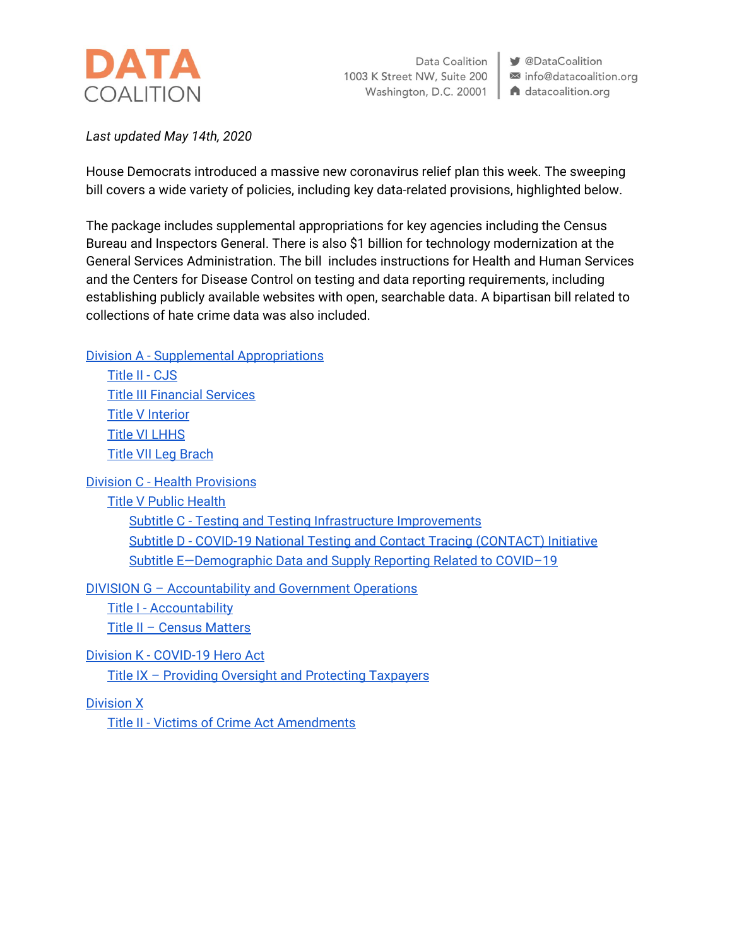

Data Coalition 1003 K Street NW, Suite 200 Washington, D.C. 20001

**V** @DataCoalition info@datacoalition.org A datacoalition.org

*Last updated May 14th, 2020*

House Democrats introduced a massive new coronavirus relief plan this week. The sweeping bill covers a wide variety of policies, including key data-related provisions, highlighted below.

The package includes supplemental appropriations for key agencies including the Census Bureau and Inspectors General. There is also \$1 billion for technology modernization at the General Services Administration. The bill includes instructions for Health and Human Services and the Centers for Disease Control on testing and data reporting requirements, including establishing publicly available websites with open, searchable data. A bipartisan bill related to collections of hate crime data was also included.

Division A - Supplemental [Appropriations](#page-1-0)

[Title](#page-1-1) II - CJS Title III [Financial](#page-1-2) Services Title V [Interior](#page-1-3) Title VI [LHHS](#page-2-0) Title VII Leg [Brach](#page-2-1)

Division C - Health [Provisions](#page-2-2)

Title V Public [Health](#page-2-3)

Subtitle C - Testing and Testing Infrastructure [Improvements](#page-2-4) Subtitle D - COVID-19 National Testing and Contact Tracing [\(CONTACT\)](#page-3-0) Initiative Subtitle [E—Demographic](#page-3-1) Data and Supply Reporting Related to COVID–19

DIVISION G – [Accountability](#page-4-0) and Government Operations

Title I - [Accountability](#page-4-1) Title II – Census [Matters](#page-5-0)

Division K - [COVID-19](#page-5-1) Hero Act Title IX – Providing Oversight and [Protecting](#page-5-2) Taxpayers

[Division](#page-6-0) X

Title II - Victims of Crime Act [Amendments](#page-6-1)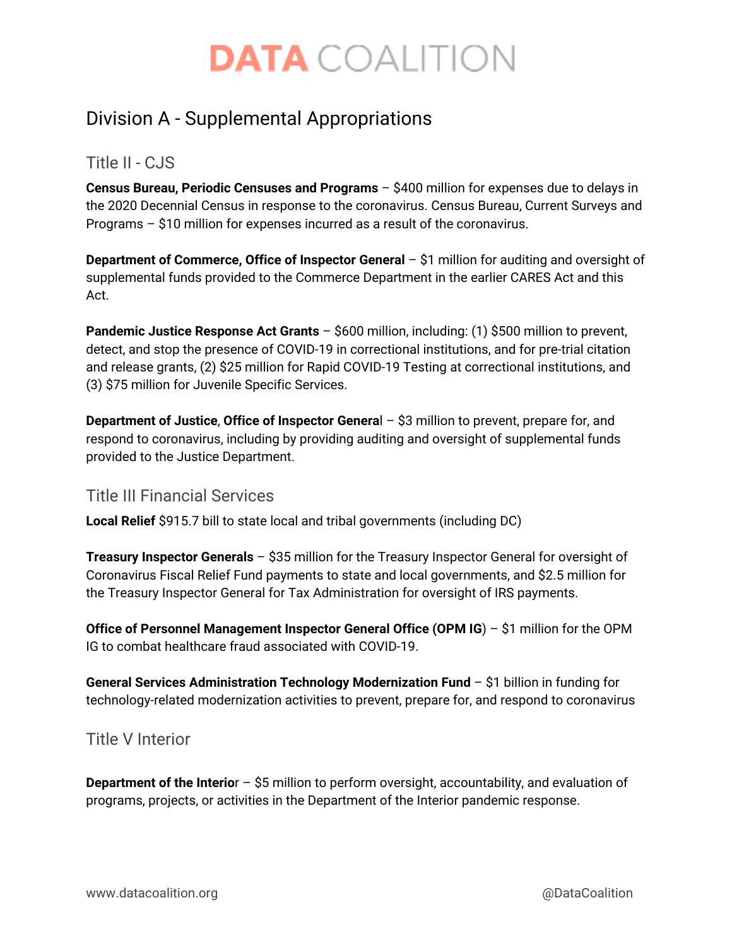# <span id="page-1-0"></span>Division A - Supplemental Appropriations

### <span id="page-1-1"></span>Title II - CJS

**Census Bureau, Periodic Censuses and Programs** – \$400 million for expenses due to delays in the 2020 Decennial Census in response to the coronavirus. Census Bureau, Current Surveys and Programs – \$10 million for expenses incurred as a result of the coronavirus.

**Department of Commerce, Office of Inspector General** – \$1 million for auditing and oversight of supplemental funds provided to the Commerce Department in the earlier CARES Act and this Act.

**Pandemic Justice Response Act Grants** – \$600 million, including: (1) \$500 million to prevent, detect, and stop the presence of COVID-19 in correctional institutions, and for pre-trial citation and release grants, (2) \$25 million for Rapid COVID-19 Testing at correctional institutions, and (3) \$75 million for Juvenile Specific Services.

**Department of Justice**, **Office of Inspector Genera**l – \$3 million to prevent, prepare for, and respond to coronavirus, including by providing auditing and oversight of supplemental funds provided to the Justice Department.

#### <span id="page-1-2"></span>Title III Financial Services

**Local Relief** \$915.7 bill to state local and tribal governments (including DC)

**Treasury Inspector Generals** – \$35 million for the Treasury Inspector General for oversight of Coronavirus Fiscal Relief Fund payments to state and local governments, and \$2.5 million for the Treasury Inspector General for Tax Administration for oversight of IRS payments.

**Office of Personnel Management Inspector General Office (OPM IG**) – \$1 million for the OPM IG to combat healthcare fraud associated with COVID-19.

**General Services Administration Technology Modernization Fund** – \$1 billion in funding for technology-related modernization activities to prevent, prepare for, and respond to coronavirus

### <span id="page-1-3"></span>Title V Interior

**Department of the Interio**r – \$5 million to perform oversight, accountability, and evaluation of programs, projects, or activities in the Department of the Interior pandemic response.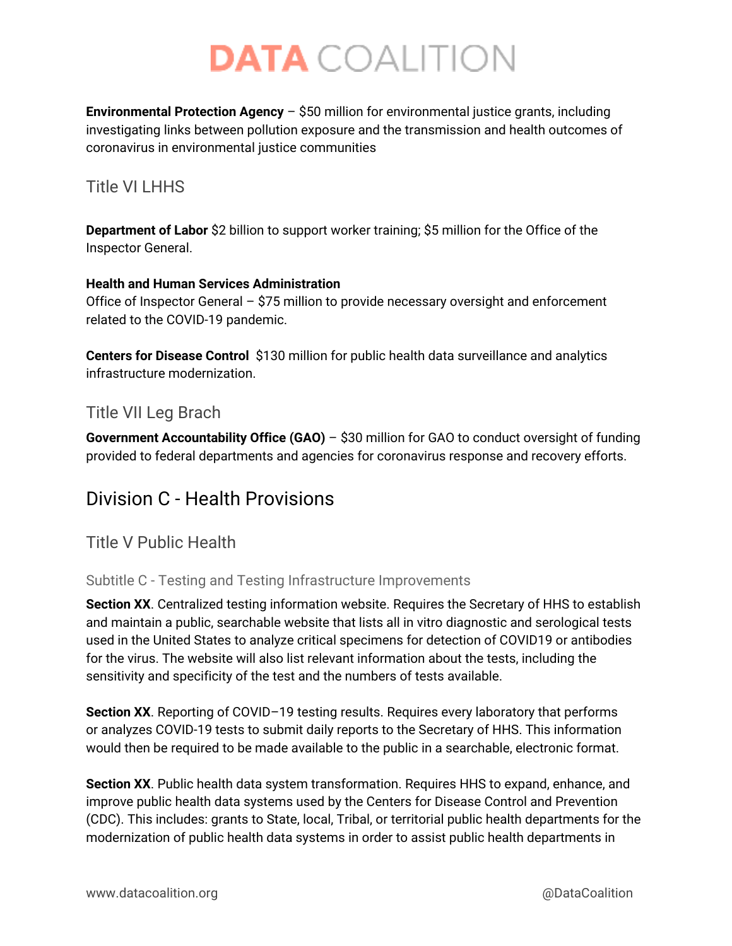**Environmental Protection Agency** – \$50 million for environmental justice grants, including investigating links between pollution exposure and the transmission and health outcomes of coronavirus in environmental justice communities

### <span id="page-2-0"></span>Title VI I HHS

**Department of Labor** \$2 billion to support worker training; \$5 million for the Office of the Inspector General.

#### **Health and Human Services Administration**

Office of Inspector General – \$75 million to provide necessary oversight and enforcement related to the COVID-19 pandemic.

**Centers for Disease Control** \$130 million for public health data surveillance and analytics infrastructure modernization.

### <span id="page-2-1"></span>Title VII Leg Brach

**Government Accountability Office (GAO)** – \$30 million for GAO to conduct oversight of funding provided to federal departments and agencies for coronavirus response and recovery efforts.

## <span id="page-2-2"></span>Division C - Health Provisions

<span id="page-2-3"></span>Title V Public Health

#### <span id="page-2-4"></span>Subtitle C - Testing and Testing Infrastructure Improvements

**Section XX**. Centralized testing information website. Requires the Secretary of HHS to establish and maintain a public, searchable website that lists all in vitro diagnostic and serological tests used in the United States to analyze critical specimens for detection of COVID19 or antibodies for the virus. The website will also list relevant information about the tests, including the sensitivity and specificity of the test and the numbers of tests available.

**Section XX**. Reporting of COVID–19 testing results. Requires every laboratory that performs or analyzes COVID-19 tests to submit daily reports to the Secretary of HHS. This information would then be required to be made available to the public in a searchable, electronic format.

**Section XX**. Public health data system transformation. Requires HHS to expand, enhance, and improve public health data systems used by the Centers for Disease Control and Prevention (CDC). This includes: grants to State, local, Tribal, or territorial public health departments for the modernization of public health data systems in order to assist public health departments in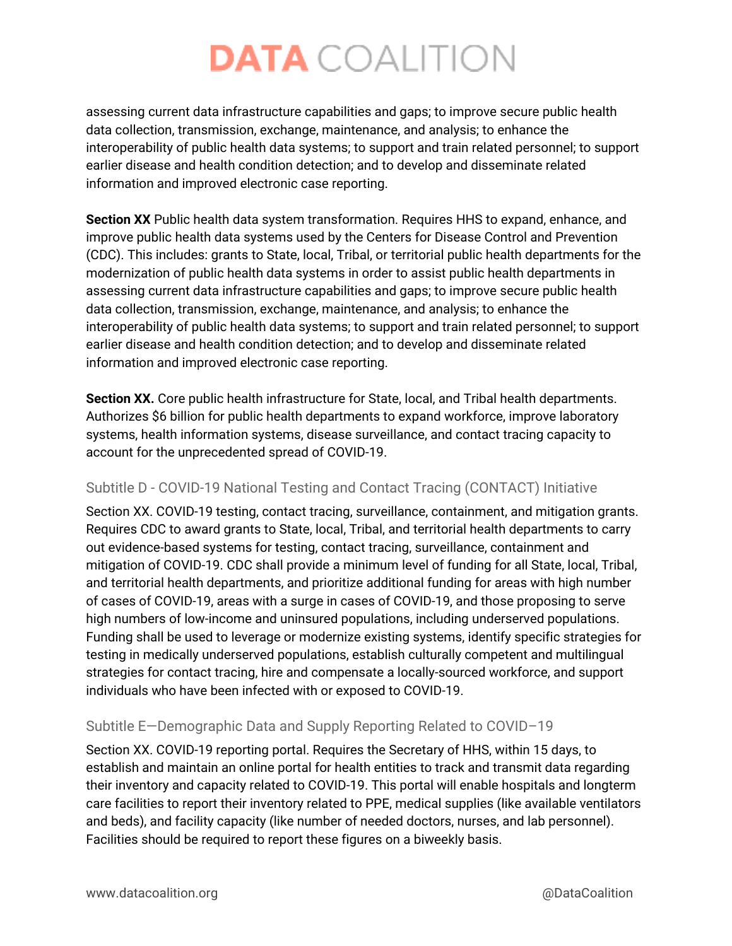assessing current data infrastructure capabilities and gaps; to improve secure public health data collection, transmission, exchange, maintenance, and analysis; to enhance the interoperability of public health data systems; to support and train related personnel; to support earlier disease and health condition detection; and to develop and disseminate related information and improved electronic case reporting.

**Section XX** Public health data system transformation. Requires HHS to expand, enhance, and improve public health data systems used by the Centers for Disease Control and Prevention (CDC). This includes: grants to State, local, Tribal, or territorial public health departments for the modernization of public health data systems in order to assist public health departments in assessing current data infrastructure capabilities and gaps; to improve secure public health data collection, transmission, exchange, maintenance, and analysis; to enhance the interoperability of public health data systems; to support and train related personnel; to support earlier disease and health condition detection; and to develop and disseminate related information and improved electronic case reporting.

**Section XX.** Core public health infrastructure for State, local, and Tribal health departments. Authorizes \$6 billion for public health departments to expand workforce, improve laboratory systems, health information systems, disease surveillance, and contact tracing capacity to account for the unprecedented spread of COVID-19.

#### <span id="page-3-0"></span>Subtitle D - COVID-19 National Testing and Contact Tracing (CONTACT) Initiative

Section XX. COVID-19 testing, contact tracing, surveillance, containment, and mitigation grants. Requires CDC to award grants to State, local, Tribal, and territorial health departments to carry out evidence-based systems for testing, contact tracing, surveillance, containment and mitigation of COVID-19. CDC shall provide a minimum level of funding for all State, local, Tribal, and territorial health departments, and prioritize additional funding for areas with high number of cases of COVID-19, areas with a surge in cases of COVID-19, and those proposing to serve high numbers of low-income and uninsured populations, including underserved populations. Funding shall be used to leverage or modernize existing systems, identify specific strategies for testing in medically underserved populations, establish culturally competent and multilingual strategies for contact tracing, hire and compensate a locally-sourced workforce, and support individuals who have been infected with or exposed to COVID-19.

#### <span id="page-3-1"></span>Subtitle E—Demographic Data and Supply Reporting Related to COVID–19

Section XX. COVID-19 reporting portal. Requires the Secretary of HHS, within 15 days, to establish and maintain an online portal for health entities to track and transmit data regarding their inventory and capacity related to COVID-19. This portal will enable hospitals and longterm care facilities to report their inventory related to PPE, medical supplies (like available ventilators and beds), and facility capacity (like number of needed doctors, nurses, and lab personnel). Facilities should be required to report these figures on a biweekly basis.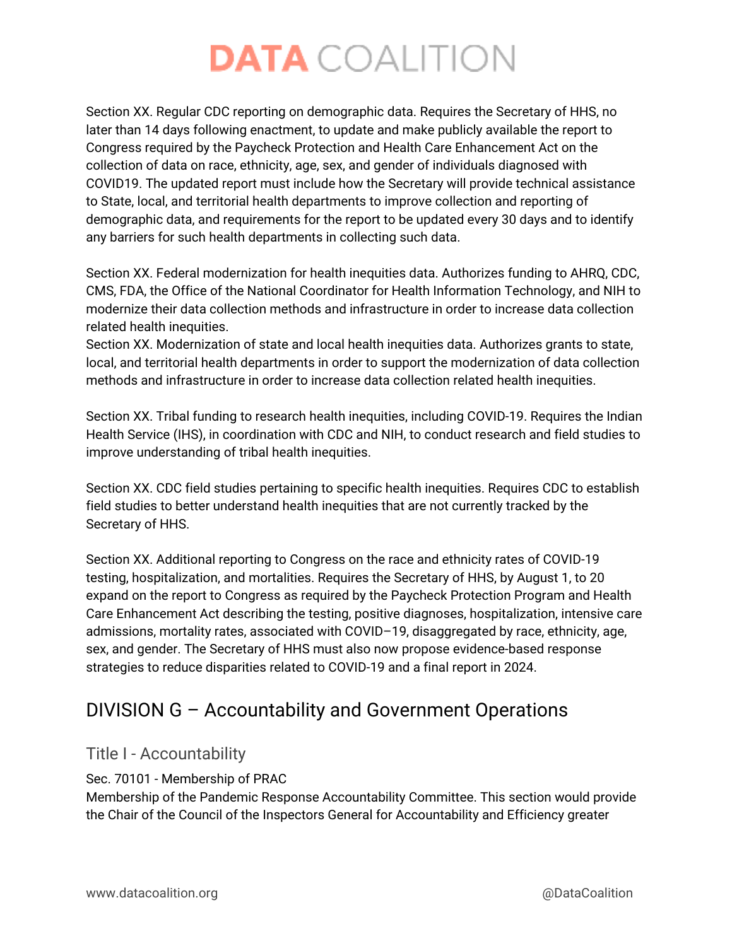Section XX. Regular CDC reporting on demographic data. Requires the Secretary of HHS, no later than 14 days following enactment, to update and make publicly available the report to Congress required by the Paycheck Protection and Health Care Enhancement Act on the collection of data on race, ethnicity, age, sex, and gender of individuals diagnosed with COVID19. The updated report must include how the Secretary will provide technical assistance to State, local, and territorial health departments to improve collection and reporting of demographic data, and requirements for the report to be updated every 30 days and to identify any barriers for such health departments in collecting such data.

Section XX. Federal modernization for health inequities data. Authorizes funding to AHRQ, CDC, CMS, FDA, the Office of the National Coordinator for Health Information Technology, and NIH to modernize their data collection methods and infrastructure in order to increase data collection related health inequities.

Section XX. Modernization of state and local health inequities data. Authorizes grants to state, local, and territorial health departments in order to support the modernization of data collection methods and infrastructure in order to increase data collection related health inequities.

Section XX. Tribal funding to research health inequities, including COVID-19. Requires the Indian Health Service (IHS), in coordination with CDC and NIH, to conduct research and field studies to improve understanding of tribal health inequities.

Section XX. CDC field studies pertaining to specific health inequities. Requires CDC to establish field studies to better understand health inequities that are not currently tracked by the Secretary of HHS.

Section XX. Additional reporting to Congress on the race and ethnicity rates of COVID-19 testing, hospitalization, and mortalities. Requires the Secretary of HHS, by August 1, to 20 expand on the report to Congress as required by the Paycheck Protection Program and Health Care Enhancement Act describing the testing, positive diagnoses, hospitalization, intensive care admissions, mortality rates, associated with COVID–19, disaggregated by race, ethnicity, age, sex, and gender. The Secretary of HHS must also now propose evidence-based response strategies to reduce disparities related to COVID-19 and a final report in 2024.

# <span id="page-4-0"></span>DIVISION G – Accountability and Government Operations

### <span id="page-4-1"></span>Title I - Accountability

Sec. 70101 - Membership of PRAC

Membership of the Pandemic Response Accountability Committee. This section would provide the Chair of the Council of the Inspectors General for Accountability and Efficiency greater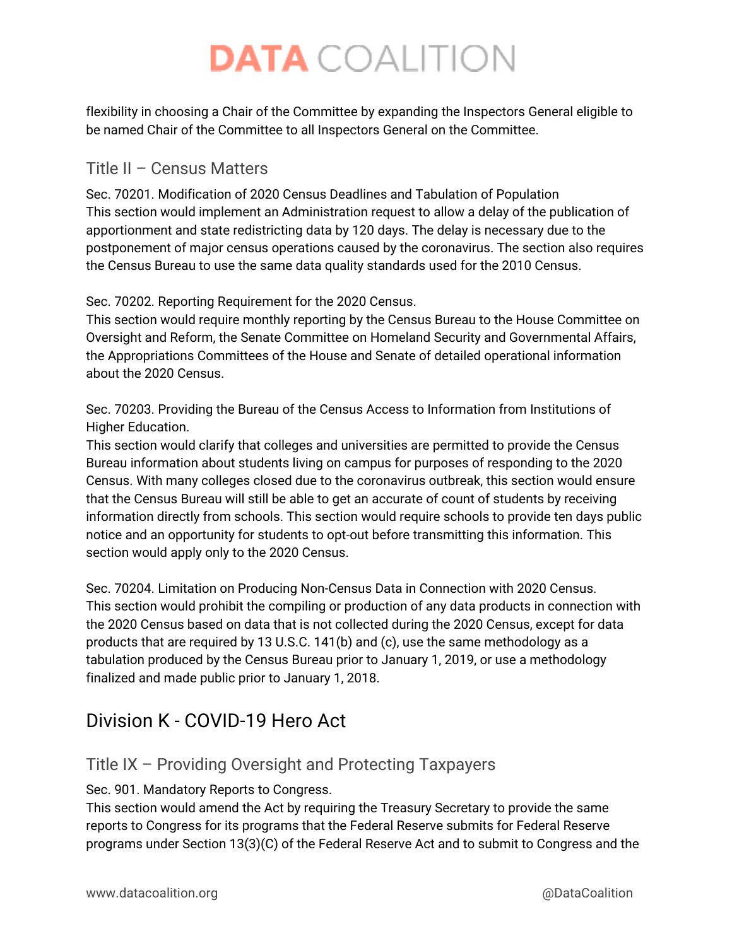flexibility in choosing a Chair of the Committee by expanding the Inspectors General eligible to be named Chair of the Committee to all Inspectors General on the Committee.

### <span id="page-5-0"></span>Title II – Census Matters

Sec. 70201. Modification of 2020 Census Deadlines and Tabulation of Population This section would implement an Administration request to allow a delay of the publication of apportionment and state redistricting data by 120 days. The delay is necessary due to the postponement of major census operations caused by the coronavirus. The section also requires the Census Bureau to use the same data quality standards used for the 2010 Census.

Sec. 70202. Reporting Requirement for the 2020 Census.

This section would require monthly reporting by the Census Bureau to the House Committee on Oversight and Reform, the Senate Committee on Homeland Security and Governmental Affairs, the Appropriations Committees of the House and Senate of detailed operational information about the 2020 Census.

Sec. 70203. Providing the Bureau of the Census Access to Information from Institutions of Higher Education.

This section would clarify that colleges and universities are permitted to provide the Census Bureau information about students living on campus for purposes of responding to the 2020 Census. With many colleges closed due to the coronavirus outbreak, this section would ensure that the Census Bureau will still be able to get an accurate of count of students by receiving information directly from schools. This section would require schools to provide ten days public notice and an opportunity for students to opt-out before transmitting this information. This section would apply only to the 2020 Census.

Sec. 70204. Limitation on Producing Non-Census Data in Connection with 2020 Census. This section would prohibit the compiling or production of any data products in connection with the 2020 Census based on data that is not collected during the 2020 Census, except for data products that are required by 13 U.S.C. 141(b) and (c), use the same methodology as a tabulation produced by the Census Bureau prior to January 1, 2019, or use a methodology finalized and made public prior to January 1, 2018.

## <span id="page-5-1"></span>Division K - COVID-19 Hero Act

### <span id="page-5-2"></span>Title IX – Providing Oversight and Protecting Taxpayers

Sec. 901. Mandatory Reports to Congress.

This section would amend the Act by requiring the Treasury Secretary to provide the same reports to Congress for its programs that the Federal Reserve submits for Federal Reserve programs under Section 13(3)(C) of the Federal Reserve Act and to submit to Congress and the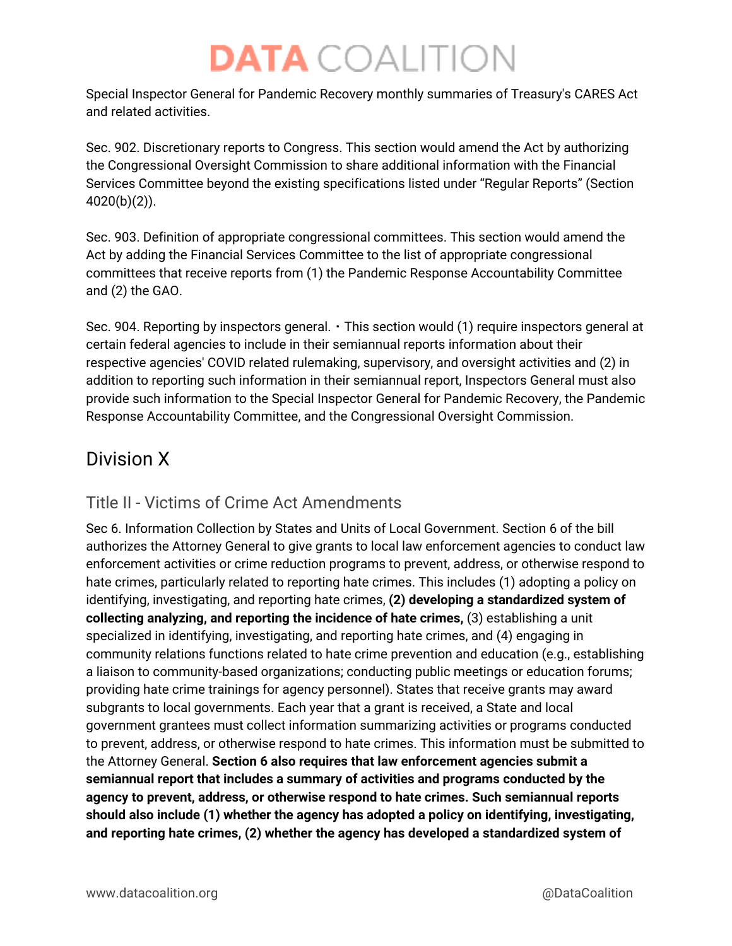Special Inspector General for Pandemic Recovery monthly summaries of Treasury's CARES Act and related activities.

Sec. 902. Discretionary reports to Congress. This section would amend the Act by authorizing the Congressional Oversight Commission to share additional information with the Financial Services Committee beyond the existing specifications listed under "Regular Reports" (Section 4020(b)(2)).

Sec. 903. Definition of appropriate congressional committees. This section would amend the Act by adding the Financial Services Committee to the list of appropriate congressional committees that receive reports from (1) the Pandemic Response Accountability Committee and (2) the GAO.

Sec. 904. Reporting by inspectors general.  $\cdot$  This section would (1) require inspectors general at certain federal agencies to include in their semiannual reports information about their respective agencies' COVID related rulemaking, supervisory, and oversight activities and (2) in addition to reporting such information in their semiannual report, Inspectors General must also provide such information to the Special Inspector General for Pandemic Recovery, the Pandemic Response Accountability Committee, and the Congressional Oversight Commission.

## <span id="page-6-0"></span>Division X

## <span id="page-6-1"></span>Title II - Victims of Crime Act Amendments

Sec 6. Information Collection by States and Units of Local Government. Section 6 of the bill authorizes the Attorney General to give grants to local law enforcement agencies to conduct law enforcement activities or crime reduction programs to prevent, address, or otherwise respond to hate crimes, particularly related to reporting hate crimes. This includes (1) adopting a policy on identifying, investigating, and reporting hate crimes, **(2) developing a standardized system of collecting analyzing, and reporting the incidence of hate crimes,** (3) establishing a unit specialized in identifying, investigating, and reporting hate crimes, and (4) engaging in community relations functions related to hate crime prevention and education (e.g., establishing a liaison to community-based organizations; conducting public meetings or education forums; providing hate crime trainings for agency personnel). States that receive grants may award subgrants to local governments. Each year that a grant is received, a State and local government grantees must collect information summarizing activities or programs conducted to prevent, address, or otherwise respond to hate crimes. This information must be submitted to the Attorney General. **Section 6 also requires that law enforcement agencies submit a semiannual report that includes a summary of activities and programs conducted by the agency to prevent, address, or otherwise respond to hate crimes. Such semiannual reports should also include (1) whether the agency has adopted a policy on identifying, investigating, and reporting hate crimes, (2) whether the agency has developed a standardized system of**